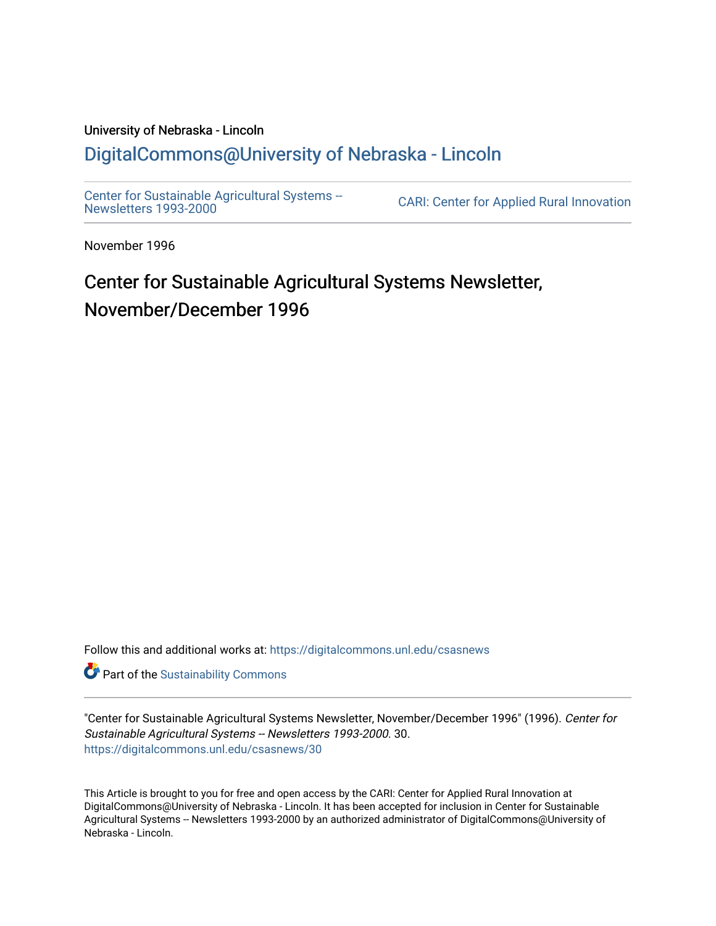# University of Nebraska - Lincoln [DigitalCommons@University of Nebraska - Lincoln](https://digitalcommons.unl.edu/)

[Center for Sustainable Agricultural Systems --](https://digitalcommons.unl.edu/csasnews)<br>Newsletters 1993-2000

CARI: Center for Applied Rural Innovation

November 1996

# Center for Sustainable Agricultural Systems Newsletter, November/December 1996

Follow this and additional works at: [https://digitalcommons.unl.edu/csasnews](https://digitalcommons.unl.edu/csasnews?utm_source=digitalcommons.unl.edu%2Fcsasnews%2F30&utm_medium=PDF&utm_campaign=PDFCoverPages) 

**Part of the [Sustainability Commons](http://network.bepress.com/hgg/discipline/1031?utm_source=digitalcommons.unl.edu%2Fcsasnews%2F30&utm_medium=PDF&utm_campaign=PDFCoverPages)** 

"Center for Sustainable Agricultural Systems Newsletter, November/December 1996" (1996). Center for Sustainable Agricultural Systems -- Newsletters 1993-2000. 30. [https://digitalcommons.unl.edu/csasnews/30](https://digitalcommons.unl.edu/csasnews/30?utm_source=digitalcommons.unl.edu%2Fcsasnews%2F30&utm_medium=PDF&utm_campaign=PDFCoverPages) 

This Article is brought to you for free and open access by the CARI: Center for Applied Rural Innovation at DigitalCommons@University of Nebraska - Lincoln. It has been accepted for inclusion in Center for Sustainable Agricultural Systems -- Newsletters 1993-2000 by an authorized administrator of DigitalCommons@University of Nebraska - Lincoln.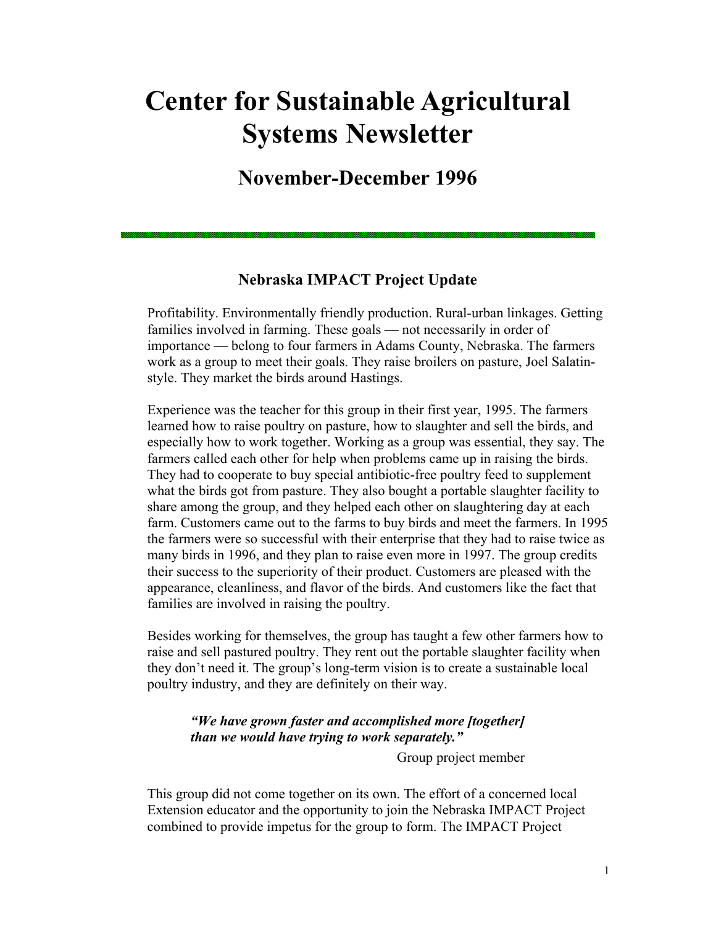# **Center for Sustainable Agricultural Systems Newsletter**

**November-December 1996** 

# **Nebraska IMPACT Project Update**

Profitability. Environmentally friendly production. Rural-urban linkages. Getting families involved in farming. These goals — not necessarily in order of importance — belong to four farmers in Adams County, Nebraska. The farmers work as a group to meet their goals. They raise broilers on pasture, Joel Salatinstyle. They market the birds around Hastings.

Experience was the teacher for this group in their first year, 1995. The farmers learned how to raise poultry on pasture, how to slaughter and sell the birds, and especially how to work together. Working as a group was essential, they say. The farmers called each other for help when problems came up in raising the birds. They had to cooperate to buy special antibiotic-free poultry feed to supplement what the birds got from pasture. They also bought a portable slaughter facility to share among the group, and they helped each other on slaughtering day at each farm. Customers came out to the farms to buy birds and meet the farmers. In 1995 the farmers were so successful with their enterprise that they had to raise twice as many birds in 1996, and they plan to raise even more in 1997. The group credits their success to the superiority of their product. Customers are pleased with the appearance, cleanliness, and flavor of the birds. And customers like the fact that families are involved in raising the poultry.

Besides working for themselves, the group has taught a few other farmers how to raise and sell pastured poultry. They rent out the portable slaughter facility when they don't need it. The group's long-term vision is to create a sustainable local poultry industry, and they are definitely on their way.

### *"We have grown faster and accomplished more [together] than we would have trying to work separately."*

Group project member

This group did not come together on its own. The effort of a concerned local Extension educator and the opportunity to join the Nebraska IMPACT Project combined to provide impetus for the group to form. The IMPACT Project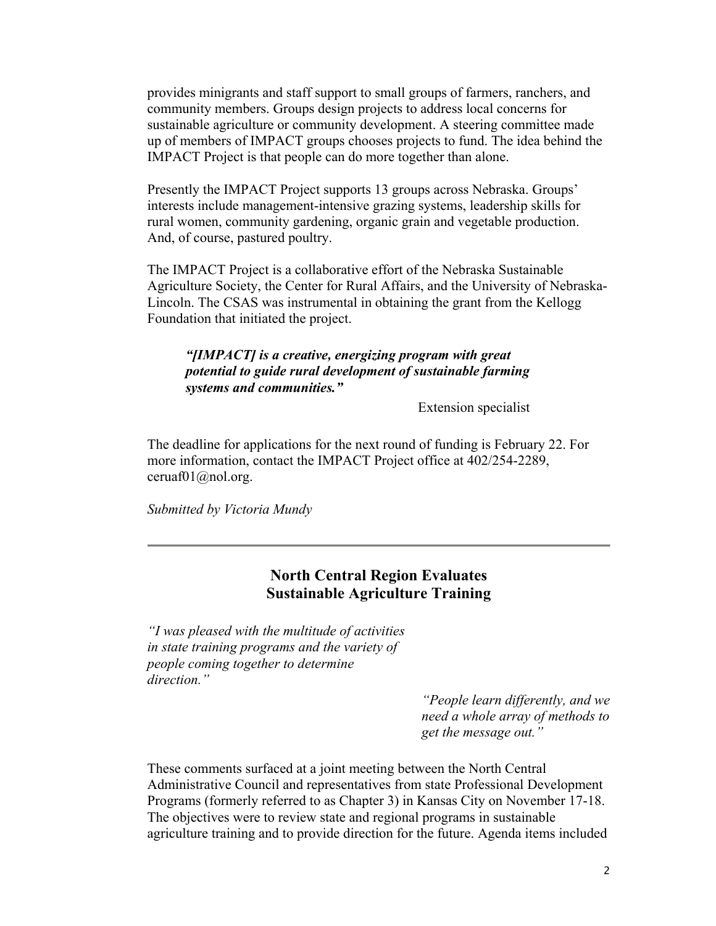provides minigrants and staff support to small groups of farmers, ranchers, and community members. Groups design projects to address local concerns for sustainable agriculture or community development. A steering committee made up of members of IMPACT groups chooses projects to fund. The idea behind the IMPACT Project is that people can do more together than alone.

Presently the IMPACT Project supports 13 groups across Nebraska. Groups' interests include management-intensive grazing systems, leadership skills for rural women, community gardening, organic grain and vegetable production. And, of course, pastured poultry.

The IMPACT Project is a collaborative effort of the Nebraska Sustainable Agriculture Society, the Center for Rural Affairs, and the University of Nebraska-Lincoln. The CSAS was instrumental in obtaining the grant from the Kellogg Foundation that initiated the project.

#### *"[IMPACT] is a creative, energizing program with great potential to guide rural development of sustainable farming systems and communities."*

Extension specialist

The deadline for applications for the next round of funding is February 22. For more information, contact the IMPACT Project office at 402/254-2289, ceruaf $01$ @nol.org.

*Submitted by Victoria Mundy*

# **North Central Region Evaluates Sustainable Agriculture Training**

*"I was pleased with the multitude of activities in state training programs and the variety of people coming together to determine direction."* 

> *"People learn differently, and we need a whole array of methods to get the message out."*

These comments surfaced at a joint meeting between the North Central Administrative Council and representatives from state Professional Development Programs (formerly referred to as Chapter 3) in Kansas City on November 17-18. The objectives were to review state and regional programs in sustainable agriculture training and to provide direction for the future. Agenda items included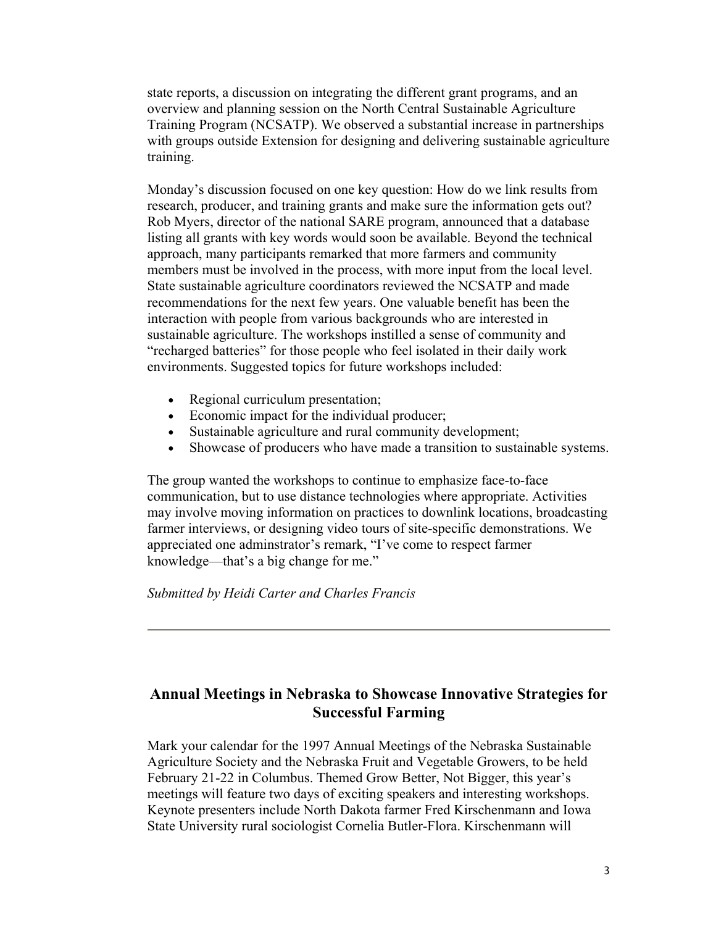state reports, a discussion on integrating the different grant programs, and an overview and planning session on the North Central Sustainable Agriculture Training Program (NCSATP). We observed a substantial increase in partnerships with groups outside Extension for designing and delivering sustainable agriculture training.

Monday's discussion focused on one key question: How do we link results from research, producer, and training grants and make sure the information gets out? Rob Myers, director of the national SARE program, announced that a database listing all grants with key words would soon be available. Beyond the technical approach, many participants remarked that more farmers and community members must be involved in the process, with more input from the local level. State sustainable agriculture coordinators reviewed the NCSATP and made recommendations for the next few years. One valuable benefit has been the interaction with people from various backgrounds who are interested in sustainable agriculture. The workshops instilled a sense of community and "recharged batteries" for those people who feel isolated in their daily work environments. Suggested topics for future workshops included:

- Regional curriculum presentation;
- Economic impact for the individual producer;
- Sustainable agriculture and rural community development;
- Showcase of producers who have made a transition to sustainable systems.

The group wanted the workshops to continue to emphasize face-to-face communication, but to use distance technologies where appropriate. Activities may involve moving information on practices to downlink locations, broadcasting farmer interviews, or designing video tours of site-specific demonstrations. We appreciated one adminstrator's remark, "I've come to respect farmer knowledge—that's a big change for me."

*Submitted by Heidi Carter and Charles Francis*

# **Annual Meetings in Nebraska to Showcase Innovative Strategies for Successful Farming**

Mark your calendar for the 1997 Annual Meetings of the Nebraska Sustainable Agriculture Society and the Nebraska Fruit and Vegetable Growers, to be held February 21-22 in Columbus. Themed Grow Better, Not Bigger, this year's meetings will feature two days of exciting speakers and interesting workshops. Keynote presenters include North Dakota farmer Fred Kirschenmann and Iowa State University rural sociologist Cornelia Butler-Flora. Kirschenmann will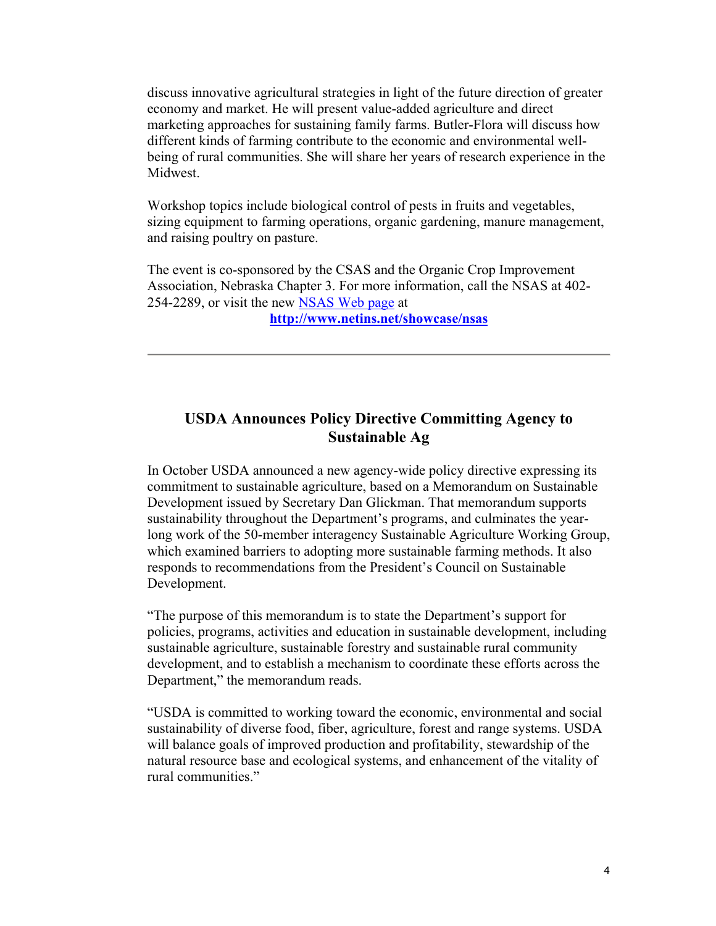discuss innovative agricultural strategies in light of the future direction of greater economy and market. He will present value-added agriculture and direct marketing approaches for sustaining family farms. Butler-Flora will discuss how different kinds of farming contribute to the economic and environmental wellbeing of rural communities. She will share her years of research experience in the Midwest.

Workshop topics include biological control of pests in fruits and vegetables, sizing equipment to farming operations, organic gardening, manure management, and raising poultry on pasture.

The event is co-sponsored by the CSAS and the Organic Crop Improvement Association, Nebraska Chapter 3. For more information, call the NSAS at 402- 254-2289, or visit the new NSAS Web page at

**http://www.netins.net/showcase/nsas**

# **USDA Announces Policy Directive Committing Agency to Sustainable Ag**

In October USDA announced a new agency-wide policy directive expressing its commitment to sustainable agriculture, based on a Memorandum on Sustainable Development issued by Secretary Dan Glickman. That memorandum supports sustainability throughout the Department's programs, and culminates the yearlong work of the 50-member interagency Sustainable Agriculture Working Group, which examined barriers to adopting more sustainable farming methods. It also responds to recommendations from the President's Council on Sustainable Development.

"The purpose of this memorandum is to state the Department's support for policies, programs, activities and education in sustainable development, including sustainable agriculture, sustainable forestry and sustainable rural community development, and to establish a mechanism to coordinate these efforts across the Department," the memorandum reads.

"USDA is committed to working toward the economic, environmental and social sustainability of diverse food, fiber, agriculture, forest and range systems. USDA will balance goals of improved production and profitability, stewardship of the natural resource base and ecological systems, and enhancement of the vitality of rural communities."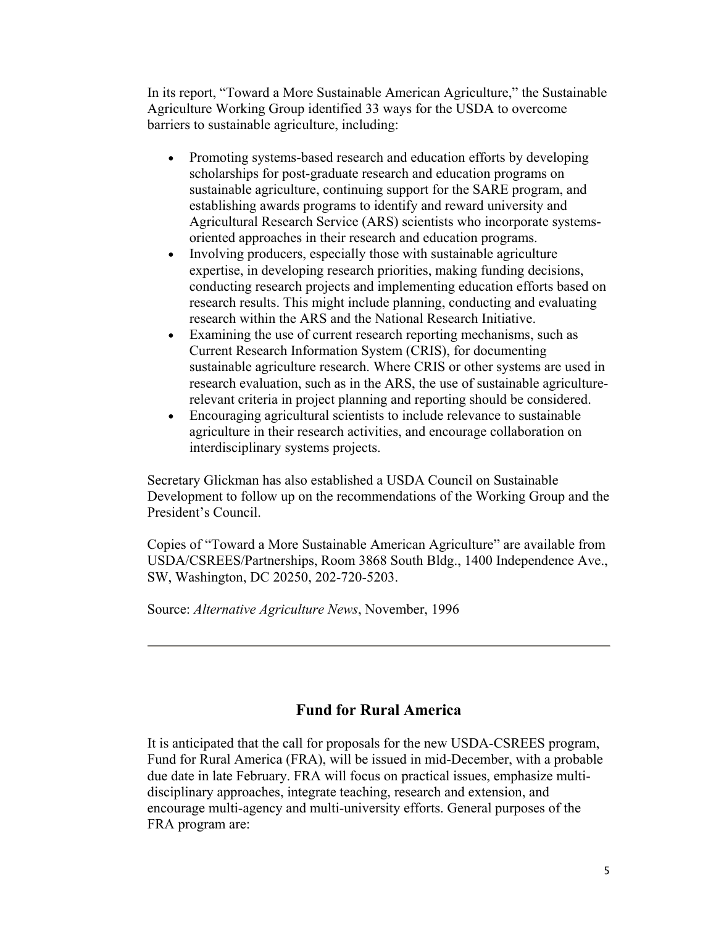In its report, "Toward a More Sustainable American Agriculture," the Sustainable Agriculture Working Group identified 33 ways for the USDA to overcome barriers to sustainable agriculture, including:

- Promoting systems-based research and education efforts by developing scholarships for post-graduate research and education programs on sustainable agriculture, continuing support for the SARE program, and establishing awards programs to identify and reward university and Agricultural Research Service (ARS) scientists who incorporate systemsoriented approaches in their research and education programs.
- Involving producers, especially those with sustainable agriculture expertise, in developing research priorities, making funding decisions, conducting research projects and implementing education efforts based on research results. This might include planning, conducting and evaluating research within the ARS and the National Research Initiative.
- Examining the use of current research reporting mechanisms, such as Current Research Information System (CRIS), for documenting sustainable agriculture research. Where CRIS or other systems are used in research evaluation, such as in the ARS, the use of sustainable agriculturerelevant criteria in project planning and reporting should be considered.
- Encouraging agricultural scientists to include relevance to sustainable agriculture in their research activities, and encourage collaboration on interdisciplinary systems projects.

Secretary Glickman has also established a USDA Council on Sustainable Development to follow up on the recommendations of the Working Group and the President's Council.

Copies of "Toward a More Sustainable American Agriculture" are available from USDA/CSREES/Partnerships, Room 3868 South Bldg., 1400 Independence Ave., SW, Washington, DC 20250, 202-720-5203.

Source: *Alternative Agriculture News*, November, 1996

# **Fund for Rural America**

It is anticipated that the call for proposals for the new USDA-CSREES program, Fund for Rural America (FRA), will be issued in mid-December, with a probable due date in late February. FRA will focus on practical issues, emphasize multidisciplinary approaches, integrate teaching, research and extension, and encourage multi-agency and multi-university efforts. General purposes of the FRA program are: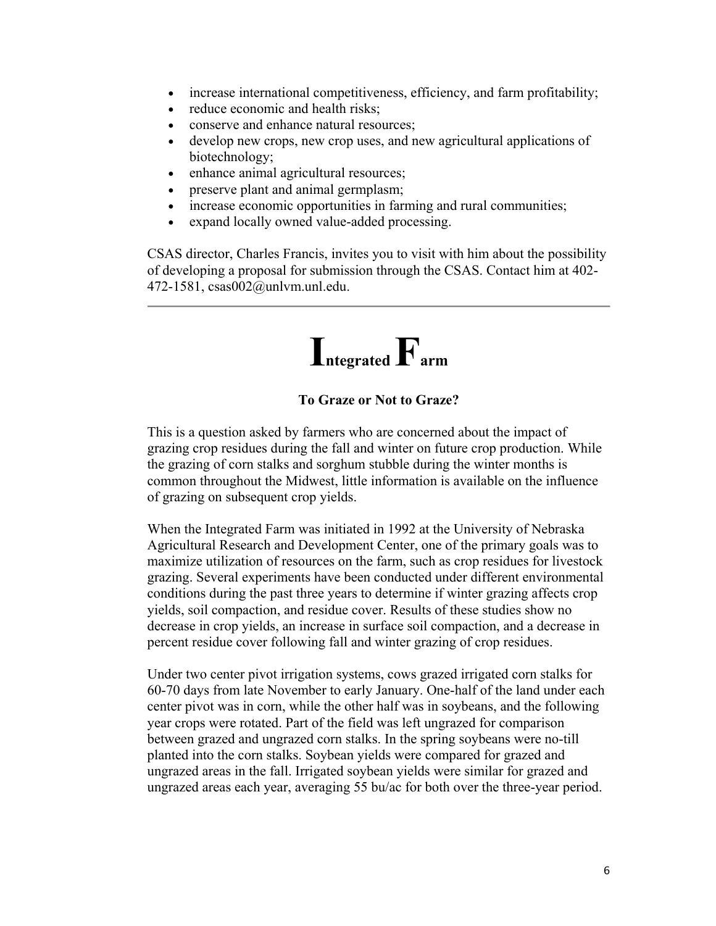- increase international competitiveness, efficiency, and farm profitability;
- reduce economic and health risks;
- conserve and enhance natural resources;
- develop new crops, new crop uses, and new agricultural applications of biotechnology;
- enhance animal agricultural resources;
- preserve plant and animal germplasm;
- increase economic opportunities in farming and rural communities;
- expand locally owned value-added processing.

CSAS director, Charles Francis, invites you to visit with him about the possibility of developing a proposal for submission through the CSAS. Contact him at 402- 472-1581, csas002@unlvm.unl.edu.



#### **To Graze or Not to Graze?**

This is a question asked by farmers who are concerned about the impact of grazing crop residues during the fall and winter on future crop production. While the grazing of corn stalks and sorghum stubble during the winter months is common throughout the Midwest, little information is available on the influence of grazing on subsequent crop yields.

When the Integrated Farm was initiated in 1992 at the University of Nebraska Agricultural Research and Development Center, one of the primary goals was to maximize utilization of resources on the farm, such as crop residues for livestock grazing. Several experiments have been conducted under different environmental conditions during the past three years to determine if winter grazing affects crop yields, soil compaction, and residue cover. Results of these studies show no decrease in crop yields, an increase in surface soil compaction, and a decrease in percent residue cover following fall and winter grazing of crop residues.

Under two center pivot irrigation systems, cows grazed irrigated corn stalks for 60-70 days from late November to early January. One-half of the land under each center pivot was in corn, while the other half was in soybeans, and the following year crops were rotated. Part of the field was left ungrazed for comparison between grazed and ungrazed corn stalks. In the spring soybeans were no-till planted into the corn stalks. Soybean yields were compared for grazed and ungrazed areas in the fall. Irrigated soybean yields were similar for grazed and ungrazed areas each year, averaging 55 bu/ac for both over the three-year period.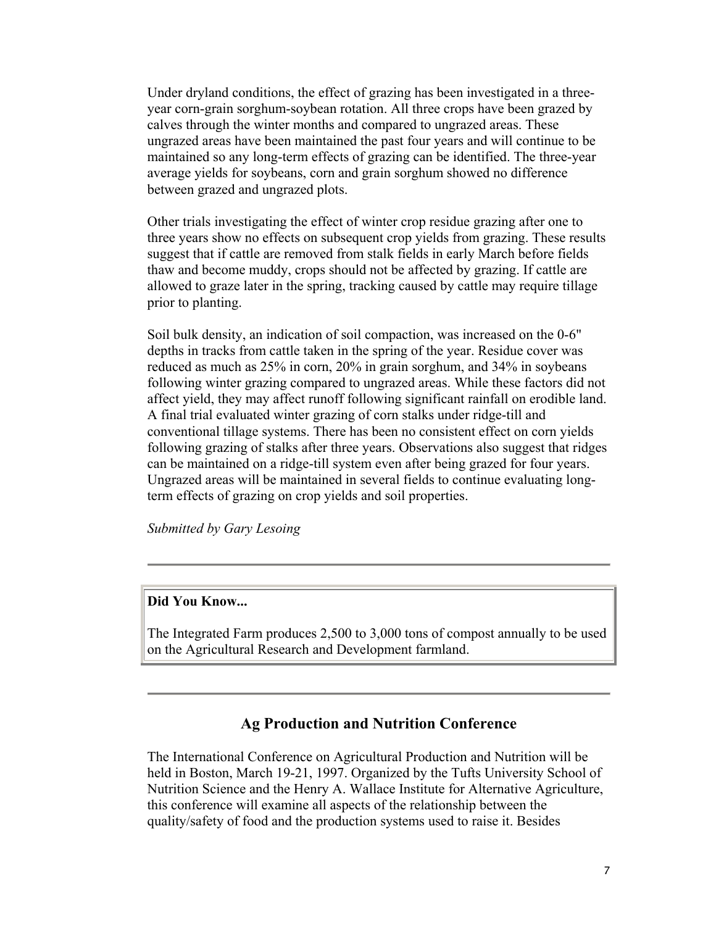Under dryland conditions, the effect of grazing has been investigated in a threeyear corn-grain sorghum-soybean rotation. All three crops have been grazed by calves through the winter months and compared to ungrazed areas. These ungrazed areas have been maintained the past four years and will continue to be maintained so any long-term effects of grazing can be identified. The three-year average yields for soybeans, corn and grain sorghum showed no difference between grazed and ungrazed plots.

Other trials investigating the effect of winter crop residue grazing after one to three years show no effects on subsequent crop yields from grazing. These results suggest that if cattle are removed from stalk fields in early March before fields thaw and become muddy, crops should not be affected by grazing. If cattle are allowed to graze later in the spring, tracking caused by cattle may require tillage prior to planting.

Soil bulk density, an indication of soil compaction, was increased on the 0-6" depths in tracks from cattle taken in the spring of the year. Residue cover was reduced as much as 25% in corn, 20% in grain sorghum, and 34% in soybeans following winter grazing compared to ungrazed areas. While these factors did not affect yield, they may affect runoff following significant rainfall on erodible land. A final trial evaluated winter grazing of corn stalks under ridge-till and conventional tillage systems. There has been no consistent effect on corn yields following grazing of stalks after three years. Observations also suggest that ridges can be maintained on a ridge-till system even after being grazed for four years. Ungrazed areas will be maintained in several fields to continue evaluating longterm effects of grazing on crop yields and soil properties.

*Submitted by Gary Lesoing*

## **Did You Know...**

The Integrated Farm produces 2,500 to 3,000 tons of compost annually to be used on the Agricultural Research and Development farmland.

#### **Ag Production and Nutrition Conference**

The International Conference on Agricultural Production and Nutrition will be held in Boston, March 19-21, 1997. Organized by the Tufts University School of Nutrition Science and the Henry A. Wallace Institute for Alternative Agriculture, this conference will examine all aspects of the relationship between the quality/safety of food and the production systems used to raise it. Besides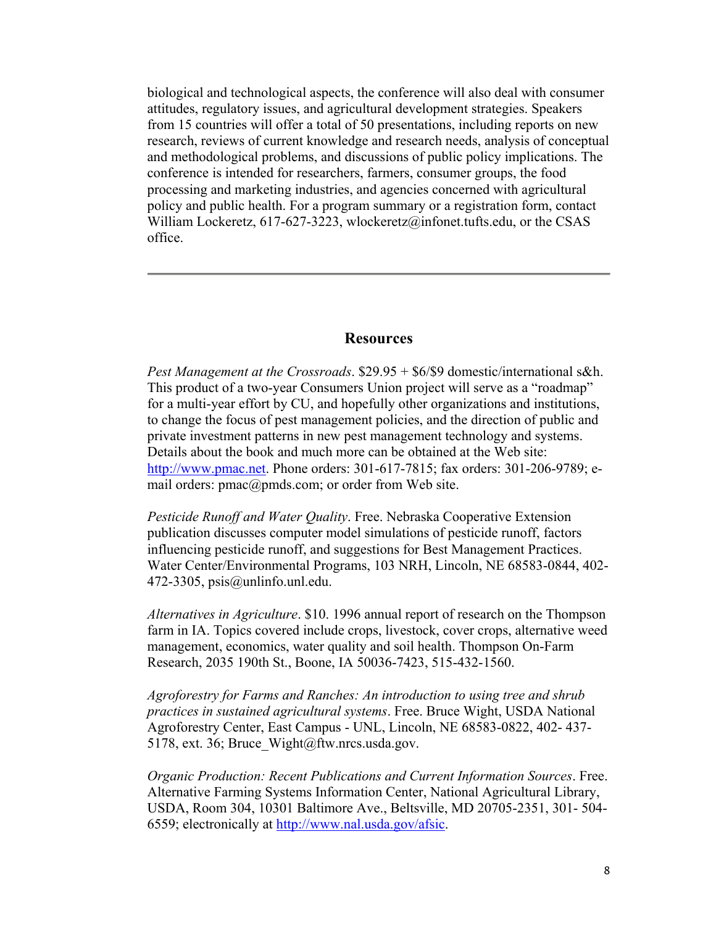biological and technological aspects, the conference will also deal with consumer attitudes, regulatory issues, and agricultural development strategies. Speakers from 15 countries will offer a total of 50 presentations, including reports on new research, reviews of current knowledge and research needs, analysis of conceptual and methodological problems, and discussions of public policy implications. The conference is intended for researchers, farmers, consumer groups, the food processing and marketing industries, and agencies concerned with agricultural policy and public health. For a program summary or a registration form, contact William Lockeretz, 617-627-3223, wlockeretz@infonet.tufts.edu, or the CSAS office.

#### **Resources**

*Pest Management at the Crossroads*. \$29.95 + \$6/\$9 domestic/international s&h. This product of a two-year Consumers Union project will serve as a "roadmap" for a multi-year effort by CU, and hopefully other organizations and institutions, to change the focus of pest management policies, and the direction of public and private investment patterns in new pest management technology and systems. Details about the book and much more can be obtained at the Web site: http://www.pmac.net. Phone orders: 301-617-7815; fax orders: 301-206-9789; email orders: pmac@pmds.com; or order from Web site.

*Pesticide Runoff and Water Quality*. Free. Nebraska Cooperative Extension publication discusses computer model simulations of pesticide runoff, factors influencing pesticide runoff, and suggestions for Best Management Practices. Water Center/Environmental Programs, 103 NRH, Lincoln, NE 68583-0844, 402- 472-3305, psis@unlinfo.unl.edu.

*Alternatives in Agriculture*. \$10. 1996 annual report of research on the Thompson farm in IA. Topics covered include crops, livestock, cover crops, alternative weed management, economics, water quality and soil health. Thompson On-Farm Research, 2035 190th St., Boone, IA 50036-7423, 515-432-1560.

*Agroforestry for Farms and Ranches: An introduction to using tree and shrub practices in sustained agricultural systems*. Free. Bruce Wight, USDA National Agroforestry Center, East Campus - UNL, Lincoln, NE 68583-0822, 402- 437- 5178, ext. 36; Bruce\_Wight@ftw.nrcs.usda.gov.

*Organic Production: Recent Publications and Current Information Sources*. Free. Alternative Farming Systems Information Center, National Agricultural Library, USDA, Room 304, 10301 Baltimore Ave., Beltsville, MD 20705-2351, 301- 504- 6559; electronically at http://www.nal.usda.gov/afsic.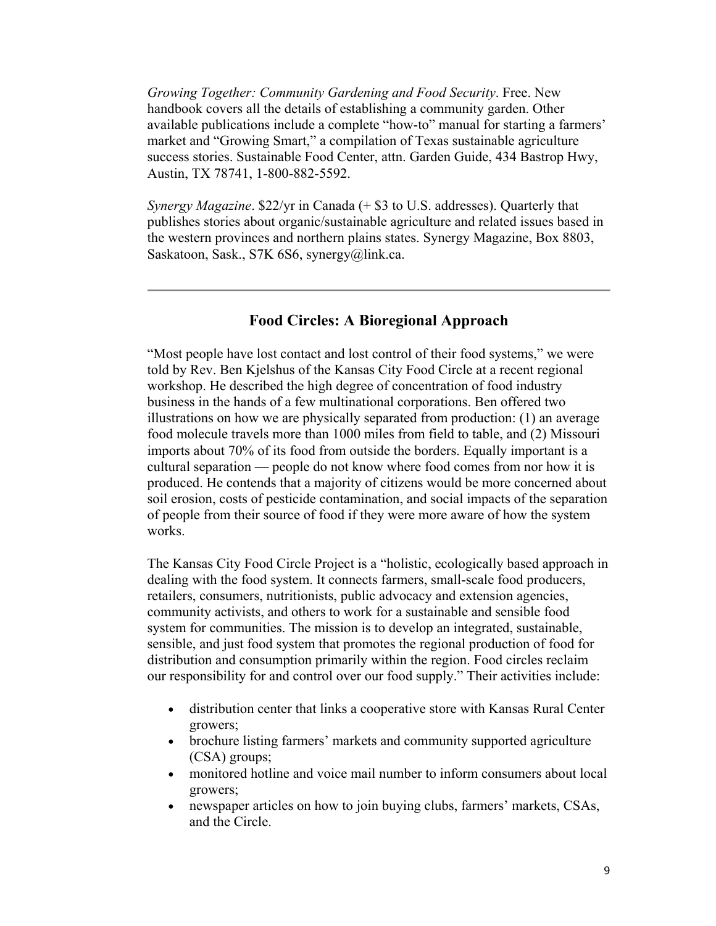*Growing Together: Community Gardening and Food Security*. Free. New handbook covers all the details of establishing a community garden. Other available publications include a complete "how-to" manual for starting a farmers' market and "Growing Smart," a compilation of Texas sustainable agriculture success stories. Sustainable Food Center, attn. Garden Guide, 434 Bastrop Hwy, Austin, TX 78741, 1-800-882-5592.

*Synergy Magazine*. \$22/yr in Canada (+ \$3 to U.S. addresses). Quarterly that publishes stories about organic/sustainable agriculture and related issues based in the western provinces and northern plains states. Synergy Magazine, Box 8803, Saskatoon, Sask., S7K 6S6, synergy@link.ca.

## **Food Circles: A Bioregional Approach**

"Most people have lost contact and lost control of their food systems," we were told by Rev. Ben Kjelshus of the Kansas City Food Circle at a recent regional workshop. He described the high degree of concentration of food industry business in the hands of a few multinational corporations. Ben offered two illustrations on how we are physically separated from production: (1) an average food molecule travels more than 1000 miles from field to table, and (2) Missouri imports about 70% of its food from outside the borders. Equally important is a cultural separation — people do not know where food comes from nor how it is produced. He contends that a majority of citizens would be more concerned about soil erosion, costs of pesticide contamination, and social impacts of the separation of people from their source of food if they were more aware of how the system works.

The Kansas City Food Circle Project is a "holistic, ecologically based approach in dealing with the food system. It connects farmers, small-scale food producers, retailers, consumers, nutritionists, public advocacy and extension agencies, community activists, and others to work for a sustainable and sensible food system for communities. The mission is to develop an integrated, sustainable, sensible, and just food system that promotes the regional production of food for distribution and consumption primarily within the region. Food circles reclaim our responsibility for and control over our food supply." Their activities include:

- distribution center that links a cooperative store with Kansas Rural Center growers;
- brochure listing farmers' markets and community supported agriculture (CSA) groups;
- monitored hotline and voice mail number to inform consumers about local growers;
- newspaper articles on how to join buying clubs, farmers' markets, CSAs, and the Circle.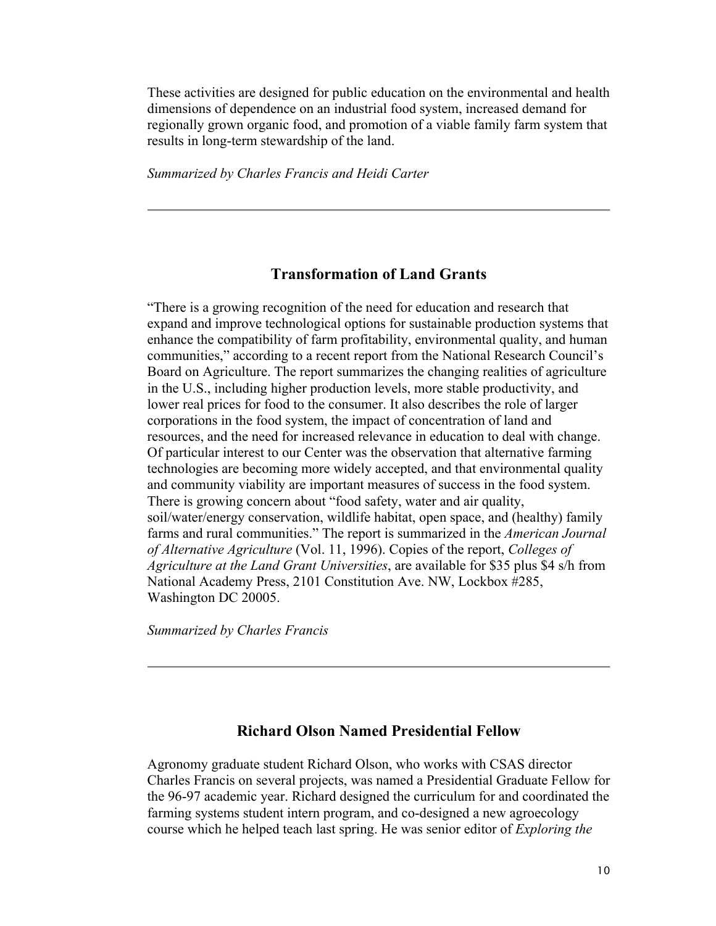These activities are designed for public education on the environmental and health dimensions of dependence on an industrial food system, increased demand for regionally grown organic food, and promotion of a viable family farm system that results in long-term stewardship of the land.

*Summarized by Charles Francis and Heidi Carter*

#### **Transformation of Land Grants**

"There is a growing recognition of the need for education and research that expand and improve technological options for sustainable production systems that enhance the compatibility of farm profitability, environmental quality, and human communities," according to a recent report from the National Research Council's Board on Agriculture. The report summarizes the changing realities of agriculture in the U.S., including higher production levels, more stable productivity, and lower real prices for food to the consumer. It also describes the role of larger corporations in the food system, the impact of concentration of land and resources, and the need for increased relevance in education to deal with change. Of particular interest to our Center was the observation that alternative farming technologies are becoming more widely accepted, and that environmental quality and community viability are important measures of success in the food system. There is growing concern about "food safety, water and air quality, soil/water/energy conservation, wildlife habitat, open space, and (healthy) family farms and rural communities." The report is summarized in the *American Journal of Alternative Agriculture* (Vol. 11, 1996). Copies of the report, *Colleges of Agriculture at the Land Grant Universities*, are available for \$35 plus \$4 s/h from National Academy Press, 2101 Constitution Ave. NW, Lockbox #285, Washington DC 20005.

*Summarized by Charles Francis*

#### **Richard Olson Named Presidential Fellow**

Agronomy graduate student Richard Olson, who works with CSAS director Charles Francis on several projects, was named a Presidential Graduate Fellow for the 96-97 academic year. Richard designed the curriculum for and coordinated the farming systems student intern program, and co-designed a new agroecology course which he helped teach last spring. He was senior editor of *Exploring the*